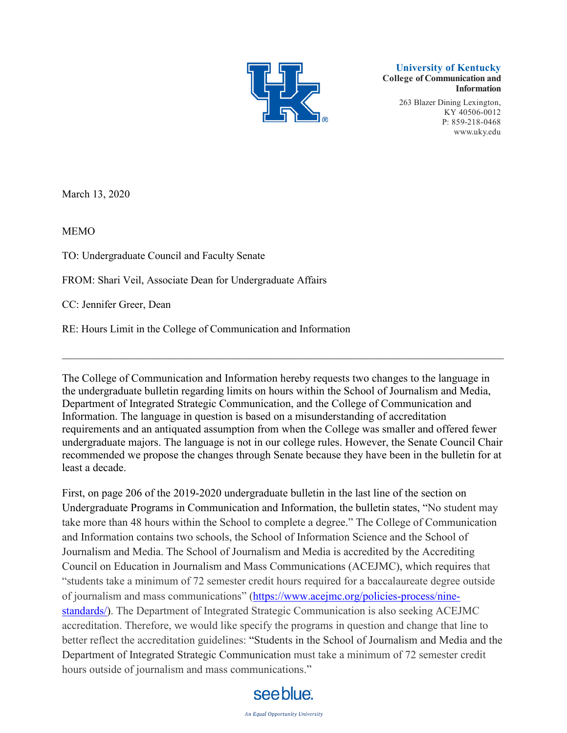

**University of Kentucky College of Communication and Information**

> 263 Blazer Dining Lexington, KY 40506-0012 P: 859-218-0468 [www.uky.edu](http://www.uky.edu/)

March 13, 2020

MEMO

TO: Undergraduate Council and Faculty Senate

FROM: Shari Veil, Associate Dean for Undergraduate Affairs

CC: Jennifer Greer, Dean

RE: Hours Limit in the College of Communication and Information

The College of Communication and Information hereby requests two changes to the language in the undergraduate bulletin regarding limits on hours within the School of Journalism and Media, Department of Integrated Strategic Communication, and the College of Communication and Information. The language in question is based on a misunderstanding of accreditation requirements and an antiquated assumption from when the College was smaller and offered fewer undergraduate majors. The language is not in our college rules. However, the Senate Council Chair recommended we propose the changes through Senate because they have been in the bulletin for at least a decade.

 $\_$  , and the set of the set of the set of the set of the set of the set of the set of the set of the set of the set of the set of the set of the set of the set of the set of the set of the set of the set of the set of th

First, on page 206 of the 2019-2020 undergraduate bulletin in the last line of the section on Undergraduate Programs in Communication and Information, the bulletin states, "No student may take more than 48 hours within the School to complete a degree." The College of Communication and Information contains two schools, the School of Information Science and the School of Journalism and Media. The School of Journalism and Media is accredited by the Accrediting Council on Education in Journalism and Mass Communications (ACEJMC), which requires that "students take a minimum of 72 semester credit hours required for a baccalaureate degree outside of journalism and mass communications" [\(https://www.acejmc.org/policies-process/nine](https://www.acejmc.org/policies-process/nine-standards/)[standards/\)](https://www.acejmc.org/policies-process/nine-standards/). The Department of Integrated Strategic Communication is also seeking ACEJMC accreditation. Therefore, we would like specify the programs in question and change that line to better reflect the accreditation guidelines: "Students in the School of Journalism and Media and the Department of Integrated Strategic Communication must take a minimum of 72 semester credit hours outside of journalism and mass communications."

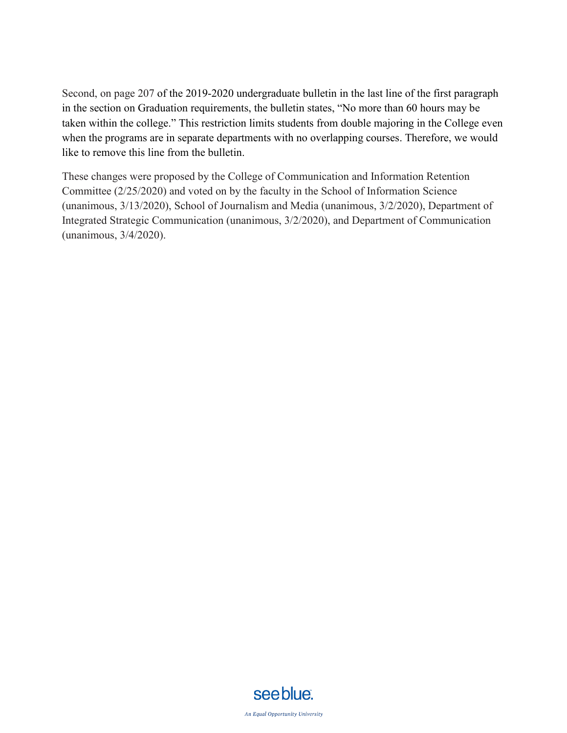Second, on page 207 of the 2019-2020 undergraduate bulletin in the last line of the first paragraph in the section on Graduation requirements, the bulletin states, "No more than 60 hours may be taken within the college." This restriction limits students from double majoring in the College even when the programs are in separate departments with no overlapping courses. Therefore, we would like to remove this line from the bulletin.

These changes were proposed by the College of Communication and Information Retention Committee (2/25/2020) and voted on by the faculty in the School of Information Science (unanimous, 3/13/2020), School of Journalism and Media (unanimous, 3/2/2020), Department of Integrated Strategic Communication (unanimous, 3/2/2020), and Department of Communication (unanimous, 3/4/2020).

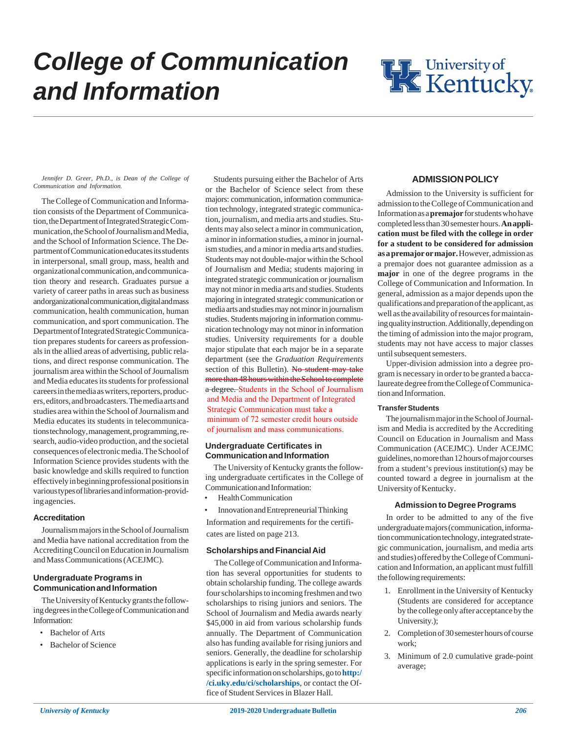

#### *Jennifer D. Greer, Ph.D., is Dean of the College of Communication and Information.*

The College of Communication and Information consists of the Department of Communication, the Department of Integrated Strategic Communication, the School of Journalism and Media, and the School of Information Science. The Department of Communication educates its students in interpersonal, small group, mass, health and organizational communication, and communication theory and research. Graduates pursue a variety of career paths in areas such as business and organizational communication, digital and mass communication, health communication, human communication, and sport communication. The Department of Integrated Strategic Communication prepares students for careers as professionals in the allied areas of advertising, public relations, and direct response communication. The journalism area within the School of Journalism and Media educates its students for professional careers in the media as writers, reporters, producers, editors, and broadcasters. The media arts and studies area within the School of Journalism and Media educates its students in telecommunications technology, management, programming, research, audio-video production, and the societal consequences of electronic media. The School of Information Science provides students with the basic knowledge and skills required to function effectively in beginning professional positions in various types of libraries and information-providing agencies.

## **Accreditation**

Journalism majors in the School of Journalism and Media have national accreditation from the Accrediting Council on Education in Journalism and Mass Communications (ACEJMC).

# **Undergraduate Programs in Communication and Information**

The University of Kentucky grants the following degrees in the College of Communication and Information:

- Bachelor of Arts
- Bachelor of Science

Students pursuing either the Bachelor of Arts or the Bachelor of Science select from these majors: communication, information communication technology, integrated strategic communication, journalism, and media arts and studies. Students may also select a minor in communication, a minor in information studies, a minor in journalism studies, and a minor in media arts and studies. Students may not double-major within the School of Journalism and Media; students majoring in integrated strategic communication or journalism may not minor in media arts and studies. Students majoring in integrated strategic communication or media arts and studies may not minor in journalism studies. Students majoring in information communication technology may not minor in information studies. University requirements for a double major stipulate that each major be in a separate department (see the *Graduation Requirements* section of this Bulletin). No student may take more than 48 hours within the School to complete a degree. Students in the School of Journalism and Media and the Department of Integrated Strategic Communication must take a minimum of 72 semester credit hours outside of journalism and mass communications.

# **Undergraduate Certificates in Communication and Information**

The University of Kentucky grants the following undergraduate certificates in the College of Communication and Information:

- Health Communication
- Innovation and Entrepreneurial Thinking

Information and requirements for the certificates are listed on page 213.

# **Scholarships and Financial Aid**

The College of Communication and Information has several opportunities for students to obtain scholarship funding. The college awards fourscholarships to incoming freshmen and two scholarships to rising juniors and seniors. The School of Journalism and Media awards nearly \$45,000 in aid from various scholarship funds annually. The Department of Communication also has funding available for rising juniors and seniors. Generally, the deadline for scholarship applications is early in the spring semester. For specific information on scholarships, go to **http:/ /ci.uky.edu/ci/scholarships**, or contact the Office of Student Services in Blazer Hall.

# **ADMISSION POLICY**

Admission to the University is sufficient for admission to the College of Communication and Information as a **premajor** for students who have completed less than 30 semester hours. **An application must be filed with the college in order for a student to be considered for admission as a premajor or major.** However, admission as a premajor does not guarantee admission as a **major** in one of the degree programs in the College of Communication and Information. In general, admission as a major depends upon the qualifications and preparation of the applicant, as well as the availability of resources for maintaining quality instruction. Additionally, depending on the timing of admission into the major program, students may not have access to major classes until subsequent semesters.

Upper-division admission into a degree program is necessary in order to be granted a baccalaureate degree from the College of Communication and Information.

# **Transfer Students**

The journalism major in the School of Journalism and Media is accredited by the Accrediting Council on Education in Journalism and Mass Communication (ACEJMC). Under ACEJMC guidelines, no more than 12 hours of major courses from a student's previous institution(s) may be counted toward a degree in journalism at the University of Kentucky.

# **Admission to Degree Programs**

In order to be admitted to any of the five undergraduate majors (communication, information communication technology, integrated strategic communication, journalism, and media arts and studies) offered by the College of Communication and Information, an applicant must fulfill the following requirements:

- 1. Enrollment in the University of Kentucky (Students are considered for acceptance by the college only after acceptance by the University.);
- 2. Completion of 30 semester hours of course work;
- 3. Minimum of 2.0 cumulative grade-point average;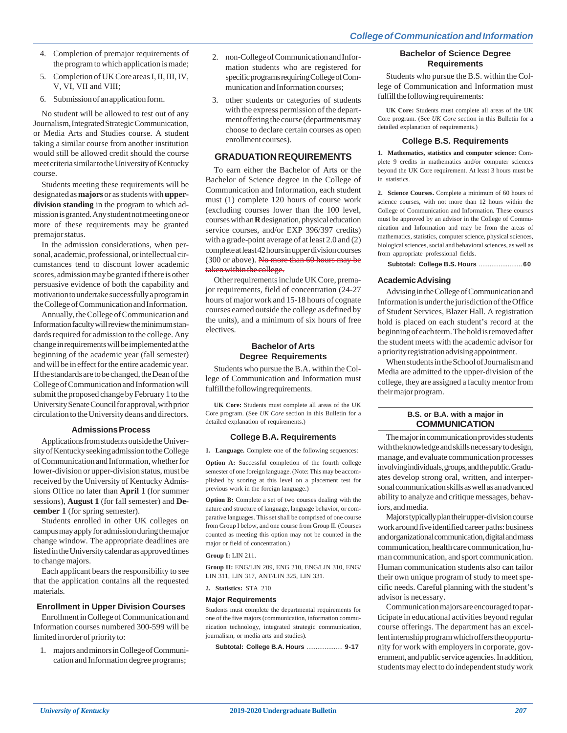- 4. Completion of premajor requirements of the program to which application is made;
- 5. Completion of UK Core areas I, II, III, IV, V, VI, VII and VIII;
- 6. Submission of an application form.

No student will be allowed to test out of any Journalism, Integrated Strategic Communication, or Media Arts and Studies course. A student taking a similar course from another institution would still be allowed credit should the course meet criteria similar to the University of Kentucky course.

Students meeting these requirements will be designated as **majors** or as students with **upperdivision standing** in the program to which admission is granted. Any student not meeting one or more of these requirements may be granted premajor status.

In the admission considerations, when personal, academic, professional, or intellectual circumstances tend to discount lower academic scores, admission may be granted if there is other persuasive evidence of both the capability and motivation to undertake successfully a program in the College of Communication and Information.

Annually, the College of Communication and Information faculty will review the minimum standards required for admission to the college. Any change in requirements will be implemented at the beginning of the academic year (fall semester) and will be in effect for the entire academic year. If the standards are to be changed, the Dean of the College of Communication and Information will submit the proposed change by February 1 to the University Senate Council for approval, with prior circulation to the University deans and directors.

# **Admissions Process**

Applications from students outside the University of Kentucky seeking admission to the College of Communication and Information, whether for lower-division or upper-division status, must be received by the University of Kentucky Admissions Office no later than **April 1** (for summer sessions), **August 1** (for fall semester) and **December 1** (for spring semester).

Students enrolled in other UK colleges on campus may apply for admission during the major change window. The appropriate deadlines are listed in the University calendar as approved times to change majors.

Each applicant bears the responsibility to see that the application contains all the requested materials.

# **Enrollment in Upper Division Courses**

Enrollment in College of Communication and Information courses numbered 300-599 will be limited in order of priority to:

1. majors and minors in College of Communication and Information degree programs;

- 2. non-College of Communication and Information students who are registered for specific programs requiring College of Communication and Information courses;
- 3. other students or categories of students with the express permission of the department offering the course (departments may choose to declare certain courses as open enrollment courses).

# **GRADUATION REQUIREMENTS**

To earn either the Bachelor of Arts or the Bachelor of Science degree in the College of Communication and Information, each student must (1) complete 120 hours of course work (excluding courses lower than the 100 level, courses with an **R** designation, physical education service courses, and/or EXP 396/397 credits) with a grade-point average of at least 2.0 and (2) complete at least 42 hours in upper division courses (300 or above). No more than 60 hours may be taken within the college.

Other requirements include UK Core, premajor requirements, field of concentration (24-27 hours of major work and 15-18 hours of cognate courses earned outside the college as defined by the units), and a minimum of six hours of free electives.

# **Bachelor of Arts Degree Requirements**

Students who pursue the B.A. within the College of Communication and Information must fulfill the following requirements.

**UK Core:** Students must complete all areas of the UK Core program. (See *UK Core* section in this Bulletin for a detailed explanation of requirements.)

# **College B.A. Requirements**

**1. Language.** Complete one of the following sequences:

**Option A:** Successful completion of the fourth college semester of one foreign language. (Note: This may be accomplished by scoring at this level on a placement test for previous work in the foreign language.)

**Option B:** Complete a set of two courses dealing with the nature and structure of language, language behavior, or comparative languages. This set shall be comprised of one course from Group I below, and one course from Group II. (Courses counted as meeting this option may not be counted in the major or field of concentration.)

# **Group I:** LIN 211.

**Group II:** ENG/LIN 209, ENG 210, ENG/LIN 310, ENG/ LIN 311, LIN 317, ANT/LIN 325, LIN 331.

**2. Statistics:** STA 210

# **Major Requirements**

Students must complete the departmental requirements for one of the five majors (communication, information communication technology, integrated strategic communication, journalism, or media arts and studies).

**Subtotal: College B.A. Hours** .................... **9-17**

# **Bachelor of Science Degree Requirements**

Students who pursue the B.S. within the College of Communication and Information must fulfill the following requirements:

**UK Core:** Students must complete all areas of the UK Core program. (See *UK Core* section in this Bulletin for a detailed explanation of requirements.)

# **College B.S. Requirements**

**1. Mathematics, statistics and computer science:** Complete 9 credits in mathematics and/or computer sciences beyond the UK Core requirement. At least 3 hours must be in statistics.

**2. Science Courses.** Complete a minimum of 60 hours of science courses, with not more than 12 hours within the College of Communication and Information. These courses must be approved by an advisor in the College of Communication and Information and may be from the areas of mathematics, statistics, computer science, physical sciences, biological sciences, social and behavioral sciences, as well as from appropriate professional fields.

**Subtotal: College B.S. Hours** ........................ **60**

# **Academic Advising**

Advising in the College of Communication and Information is under the jurisdiction of the Office of Student Services, Blazer Hall. A registration hold is placed on each student's record at the beginning of each term. The hold is removed after the student meets with the academic advisor for a priority registration advising appointment.

When students in the School of Journalism and Media are admitted to the upper-division of the college, they are assigned a faculty mentor from their major program.

# **B.S. or B.A. with a major in COMMUNICATION**

The major in communication provides students with the knowledge and skills necessary to design, manage, and evaluate communication processes involving individuals, groups, and the public. Graduates develop strong oral, written, and interpersonal communication skills as well as an advanced ability to analyze and critique messages, behaviors, and media.

Majors typically plan their upper-division course work around five identified career paths: business and organizational communication, digital and mass communication, health care communication, human communication, and sport communication. Human communication students also can tailor their own unique program of study to meet specific needs. Careful planning with the student's advisor is necessary.

Communication majors are encouraged to participate in educational activities beyond regular course offerings. The department has an excellent internship program which offers the opportunity for work with employers in corporate, government, and public service agencies. In addition, students may elect to do independent study work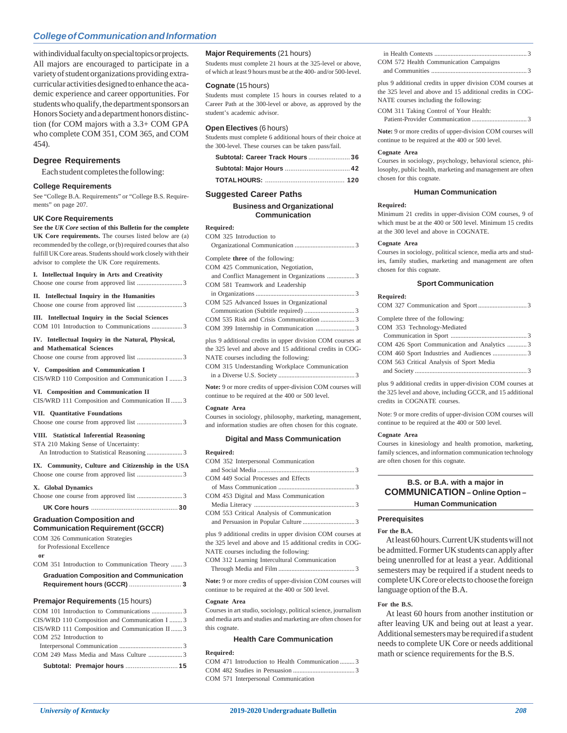with individual faculty on special topics or projects. All majors are encouraged to participate in a variety of student organizations providing extracurricular activities designed to enhance the academic experience and career opportunities. For students who qualify, the department sponsors an Honors Society and a department honors distinction (for COM majors with a 3.3+ COM GPA who complete COM 351, COM 365, and COM 454).

## **Degree Requirements**

Each student completes the following:

#### **College Requirements**

See "College B.A. Requirements" or "College B.S. Requirements" on page 207.

#### **UK Core Requirements**

**See the** *UK Core* **section of this Bulletin for the complete UK Core requirements.** The courses listed below are (a) recommended by the college, or (b) required courses that also fulfill UK Core areas. Students should work closely with their advisor to complete the UK Core requirements.

**I. Intellectual Inquiry in Arts and Creativity**

| 1. Intenectual Inquiry in Arts and Creativity                                                                                                                           |
|-------------------------------------------------------------------------------------------------------------------------------------------------------------------------|
| Intellectual Inquiry in the Humanities<br>П.                                                                                                                            |
| III. Intellectual Inquiry in the Social Sciences                                                                                                                        |
| IV. Intellectual Inquiry in the Natural, Physical,<br>and Mathematical Sciences                                                                                         |
| V. Composition and Communication I<br>CIS/WRD 110 Composition and Communication I  3                                                                                    |
| VI. Composition and Communication II<br>CIS/WRD 111 Composition and Communication II  3                                                                                 |
| VII. Quantitative Foundations                                                                                                                                           |
| VIII. Statistical Inferential Reasoning<br>STA 210 Making Sense of Uncertainty:                                                                                         |
| IX. Community, Culture and Citizenship in the USA                                                                                                                       |
| X. Global Dynamics                                                                                                                                                      |
|                                                                                                                                                                         |
| <b>Graduation Composition and</b><br><b>Communication Requirement (GCCR)</b><br>COM 326 Communication Strategies<br>for Professional Excellence<br>or                   |
| COM 351 Introduction to Communication Theory  3                                                                                                                         |
| <b>Graduation Composition and Communication</b><br>Requirement hours (GCCR)  3                                                                                          |
| <b>Premajor Requirements (15 hours)</b><br>CIS/WRD 110 Composition and Communication I  3<br>CIS/WRD 111 Composition and Communication II  3<br>COM 252 Introduction to |
|                                                                                                                                                                         |

# **Major Requirements** (21 hours)

Students must complete 21 hours at the 325-level or above, of which at least 9 hours must be at the 400- and/or 500-level.

## **Cognate** (15 hours)

Students must complete 15 hours in courses related to a Career Path at the 300-level or above, as approved by the student's academic advisor.

## **Open Electives** (6 hours)

Students must complete 6 additional hours of their choice at the 300-level. These courses can be taken pass/fail.

| Subtotal: Career Track Hours  36 |  |
|----------------------------------|--|
|                                  |  |
|                                  |  |

## **Suggested Career Paths**

## **Business and Organizational Communication**

## **Required:**

| COM 325 Introduction to                                    |  |
|------------------------------------------------------------|--|
|                                                            |  |
| Complete <b>three</b> of the following:                    |  |
| COM 425 Communication, Negotiation,                        |  |
|                                                            |  |
| COM 581 Teamwork and Leadership                            |  |
|                                                            |  |
| COM 525 Advanced Issues in Organizational                  |  |
|                                                            |  |
|                                                            |  |
|                                                            |  |
| plus 9 additional credits in upper division COM courses at |  |
| the 325 level and above and 15 additional credits in COG-  |  |
| NATE courses including the following:                      |  |
| COM 315 Understanding Workplace Communication              |  |
|                                                            |  |

**Note:** 9 or more credits of upper-division COM courses will continue to be required at the 400 or 500 level.

#### **Cognate Area**

Courses in sociology, philosophy, marketing, management, and information studies are often chosen for this cognate.

#### **Digital and Mass Communication**

| Required:                                                  |
|------------------------------------------------------------|
| COM 352 Interpersonal Communication                        |
|                                                            |
| COM 449 Social Processes and Effects                       |
|                                                            |
| COM 453 Digital and Mass Communication                     |
|                                                            |
| COM 553 Critical Analysis of Communication                 |
|                                                            |
| plus 9 additional credits in upper division COM courses at |
| the 325 level and above and 15 additional credits in COG-  |
| NATE courses including the following:                      |

COM 312 Learning Intercultural Communication

Through Media and Film ............................................... 3

**Note:** 9 or more credits of upper-division COM courses will continue to be required at the 400 or 500 level.

#### **Cognate Area**

Courses in art studio, sociology, political science, journalism and media arts and studies and marketing are often chosen for this cognate.

## **Health Care Communication**

**Required:**

COM 471 Introduction to Health Communication ..... COM 482 Studies in Persuasion COM 571 Interpersonal Communication

| COM 572 Health Communication Campaigns |  |
|----------------------------------------|--|

and Communities ........

plus 9 additional credits in upper division COM courses at the 325 level and above and 15 additional credits in COG-NATE courses including the following:

COM 311 Taking Control of Your Health: Patient-Provider Communication .................................. 3

**Note:** 9 or more credits of upper-division COM courses will continue to be required at the 400 or 500 level.

#### **Cognate Area**

Courses in sociology, psychology, behavioral science, philosophy, public health, marketing and management are often chosen for this cognate.

#### **Human Communication**

#### **Required:**

Minimum 21 credits in upper-division COM courses, 9 of which must be at the 400 or 500 level. Minimum 15 credits at the 300 level and above in COGNATE.

#### **Cognate Area**

Courses in sociology, political science, media arts and studies, family studies, marketing and management are often chosen for this cognate.

#### **Sport Communication**

| Required:                                   |  |
|---------------------------------------------|--|
|                                             |  |
| Complete three of the following:            |  |
| COM 353 Technology-Mediated                 |  |
|                                             |  |
| COM 426 Sport Communication and Analytics 3 |  |
|                                             |  |
| COM 563 Critical Analysis of Sport Media    |  |
|                                             |  |

plus 9 additional credits in upper-division COM courses at the 325 level and above, including GCCR, and 15 additional credits in COGNATE courses.

Note: 9 or more credits of upper-division COM courses will continue to be required at the 400 or 500 level.

#### **Cognate Area**

Courses in kinesiology and health promotion, marketing, family sciences, and information communication technology are often chosen for this cognate.

# **B.S. or B.A. with a major in COMMUNICATION – Online Option – Human Communication**

## **Prerequisites**

#### **For the B.A.**

At least 60 hours. Current UK students will not be admitted. Former UK students can apply after being unenrolled for at least a year. Additional semesters may be required if a student needs to complete UK Core or elects to choose the foreign language option of the B.A.

## **For the B.S.**

At least 60 hours from another institution or after leaving UK and being out at least a year. Additional semesters may be required if a student needs to complete UK Core or needs additional math or science requirements for the B.S.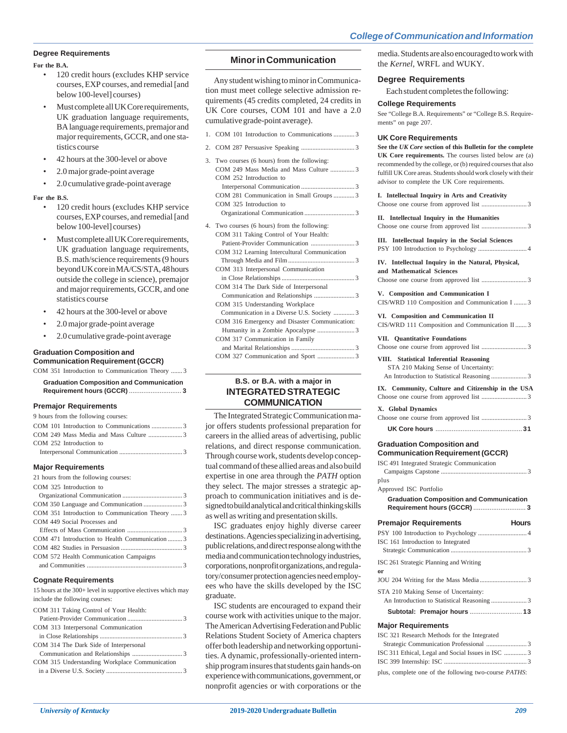## **Degree Requirements**

## **For the B.A.**

- 120 credit hours (excludes KHP service courses, EXP courses, and remedial [and below 100-level] courses)
- Must complete all UK Core requirements, UK graduation language requirements, BA language requirements, premajor and major requirements, GCCR, and one statistics course
- 42 hours at the 300-level or above
- 2.0 major grade-point average
- 2.0 cumulative grade-point average

#### **For the B.S.**

- 120 credit hours (excludes KHP service courses, EXP courses, and remedial [and below 100-level] courses)
- Must complete all UK Core requirements, UK graduation language requirements, B.S. math/science requirements (9 hours beyond UK core in MA/CS/STA, 48 hours outside the college in science), premajor and major requirements, GCCR, and one statistics course
- 42 hours at the 300-level or above
- 2.0 major grade-point average
- 2.0 cumulative grade-point average

#### **Graduation Composition and Communication Requirement (GCCR)**

COM 351 Introduction to Communication Theory ....... 3

| <b>Graduation Composition and Communication</b> |  |
|-------------------------------------------------|--|
|                                                 |  |
|                                                 |  |

## **Premajor Requirements**

| 9 hours from the following courses:            |
|------------------------------------------------|
|                                                |
|                                                |
| COM 252 Introduction to                        |
|                                                |
| <b>Major Requirements</b>                      |
| 21 hours from the following courses:           |
| COM 325 Introduction to                        |
|                                                |
|                                                |
| COM 351 Introduction to Communication Theory 3 |
| COM 449 Social Processes and                   |
|                                                |

#### COM 471 Introduction to Health Communication ......... 3 COM 482 Studies in Persuasion ...................................... 3 COM 572 Health Communication Campaigns and Communities ........................................................... 3

### **Cognate Requirements**

| 15 hours at the 300+ level in supportive electives which may |
|--------------------------------------------------------------|
| include the following courses:                               |

| COM 311 Taking Control of Your Health:        |  |
|-----------------------------------------------|--|
|                                               |  |
| COM 313 Interpersonal Communication           |  |
|                                               |  |
| COM 314 The Dark Side of Interpersonal        |  |
|                                               |  |
| COM 315 Understanding Workplace Communication |  |
|                                               |  |
|                                               |  |

# **Minor in Communication**

Any student wishing to minor in Communication must meet college selective admission requirements (45 credits completed, 24 credits in UK Core courses, COM 101 and have a 2.0 cumulative grade-point average).

- 1. COM 101 Introduction to Communications ............. 3
- 2. COM 287 Persuasive Speaking ................................. 3
- 3. Two courses (6 hours) from the following: COM 249 Mass Media and Mass Culture ............... 3 COM 252 Introduction to Interpersonal Communication ................................. 3 COM 281 Communication in Small Groups ............. 3 COM 325 Introduction to
	- Organizational Communication ............................... 3
- 4. Two courses (6 hours) from the following: COM 311 Taking Control of Your Health: Patient-Provider Communication ........................... 3 COM 312 Learning Intercultural Communication
	- Through Media and Film ......................................... 3 COM 313 Interpersonal Communication
	- in Close Relationships .......................... COM 314 The Dark Side of Interpersonal
	- Communication and Relationships ..................... COM 315 Understanding Workplace
	- Communication in a Diverse U.S. Society ............. 3 COM 316 Emergency and Disaster Communication:
	- Humanity in a Zombie Apocalypse ....................... 3 COM 317 Communication in Family and Marital Relationships ....................................... 3
	- COM 327 Communication and Sport ....................... 3

# **B.S. or B.A. with a major in INTEGRATED STRATEGIC COMMUNICATION**

The Integrated Strategic Communication major offers students professional preparation for careers in the allied areas of advertising, public relations, and direct response communication. Through course work, students develop conceptual command of these allied areas and also build expertise in one area through the *PATH* option they select. The major stresses a strategic approach to communication initiatives and is designed to build analytical and critical thinking skills as well as writing and presentation skills.

ISC graduates enjoy highly diverse career destinations. Agencies specializing in advertising, public relations, and direct response along with the media and communication technology industries, corporations, nonprofit organizations, and regulatory/consumer protection agencies need employees who have the skills developed by the ISC graduate.

ISC students are encouraged to expand their course work with activities unique to the major. The American Advertising Federation and Public Relations Student Society of America chapters offer both leadership and networking opportunities. A dynamic, professionally-oriented internship program insures that students gain hands-on experience with communications, government, or nonprofit agencies or with corporations or the media. Students are also encouraged to work with the *Kernel*, WRFL and WUKY.

#### **Degree Requirements**

Each student completes the following:

## **College Requirements**

See "College B.A. Requirements" or "College B.S. Requirements" on page 207.

#### **UK Core Requirements**

**See the** *UK Core* **section of this Bulletin for the complete UK Core requirements.** The courses listed below are (a) recommended by the college, or (b) required courses that also fulfill UK Core areas. Students should work closely with their advisor to complete the UK Core requirements.

**I. Intellectual Inquiry in Arts and Creativity** Choose one course from approved list ............................ 3

**II. Intellectual Inquiry in the Humanities** Choose one course from approved list ............................ 3

**III. Intellectual Inquiry in the Social Sciences** PSY 100 Introduction to Psychology .............................. 4

**IV. Intellectual Inquiry in the Natural, Physical, and Mathematical Sciences**

Choose one course from approved list ............................ 3

**V. Composition and Communication I** CIS/WRD 110 Composition and Communication I ........ 3

|  |  | VI. Composition and Communication II            |  |
|--|--|-------------------------------------------------|--|
|  |  | CIS/WRD 111 Composition and Communication II  3 |  |

#### **VII. Quantitative Foundations**

|  |  | viii. Diausudai mierenuai ideasoning |                                      |  |
|--|--|--------------------------------------|--------------------------------------|--|
|  |  |                                      | STA 210 Making Sense of Uncertainty: |  |
|  |  |                                      |                                      |  |

## **IX. Community, Culture and Citizenship in the USA**

| X. Global Dynamics |  |
|--------------------|--|
|                    |  |
|                    |  |

## **Graduation Composition and Communication Requirement (GCCR)**

| ISC 491 Integrated Strategic Communication      |              |
|-------------------------------------------------|--------------|
|                                                 |              |
| plus                                            |              |
| Approved ISC Portfolio                          |              |
| <b>Graduation Composition and Communication</b> |              |
| <b>Premajor Requirements</b>                    | <b>Hours</b> |
|                                                 |              |
| ISC 161 Introduction to Integrated              |              |
|                                                 |              |
| ISC 261 Strategic Planning and Writing<br>or    |              |
|                                                 |              |
| STA 210 Making Sense of Uncertainty:            |              |
|                                                 |              |
| Subtotal: Premajor hours  13                    |              |
| <b>Major Requirements</b>                       |              |
| ISC 321 Research Methods for the Integrated     |              |
|                                                 | $\sim$       |

# Strategic Communication Professional ... ISC 311 Ethical, Legal and Social Issues in ISC .............. 3 ISC 399 Internship: ISC ................................................... 3

plus, complete one of the following two-course *PATHS*: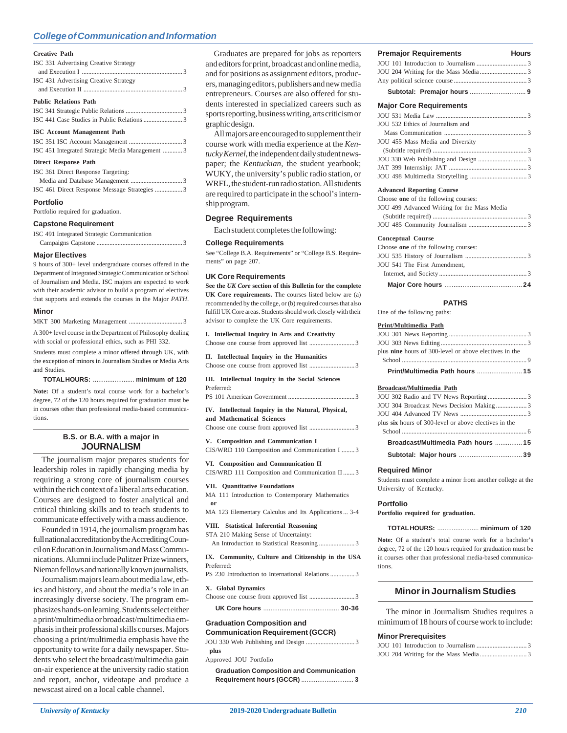#### **Creative Path**

| ISC 331 Advertising Creative Strategy           |  |
|-------------------------------------------------|--|
| ISC 431 Advertising Creative Strategy           |  |
| <b>Public Relations Path</b>                    |  |
|                                                 |  |
|                                                 |  |
| <b>ISC Account Management Path</b>              |  |
|                                                 |  |
| ISC 451 Integrated Strategic Media Management 3 |  |
| <b>Direct Response Path</b>                     |  |
| ISC 361 Direct Response Targeting:              |  |
|                                                 |  |

| <b>Portfolio</b> |                                              |
|------------------|----------------------------------------------|
|                  | ISC 461 Direct Response Message Strategies 3 |
|                  |                                              |

Portfolio required for graduation.

#### **Capstone Requirement**

| ISC 491 Integrated Strategic Communication |  |
|--------------------------------------------|--|
|                                            |  |
|                                            |  |

## **Major Electives**

9 hours of 300+ level undergraduate courses offered in the Department of Integrated Strategic Communication or School of Journalism and Media. ISC majors are expected to work with their academic advisor to build a program of electives that supports and extends the courses in the Major *PATH*.

#### **Minor**

MKT 300 Marketing Management .............................

A 300+ level course in the Department of Philosophy dealing with social or professional ethics, such as PHI 332.

Students must complete a minor offered through UK, with the exception of minors in Journalism Studies or Media Arts and Studies.

#### **TOTAL HOURS:** ....................... **minimum of 120**

**Note:** Of a student's total course work for a bachelor's degree, 72 of the 120 hours required for graduation must be in courses other than professional media-based communications.

## **B.S. or B.A. with a major in JOURNALISM**

The journalism major prepares students for leadership roles in rapidly changing media by requiring a strong core of journalism courses within the rich context of a liberal arts education. Courses are designed to foster analytical and critical thinking skills and to teach students to communicate effectively with a mass audience.

Founded in 1914, the journalism program has full national accreditation by the Accrediting Council on Education in Journalism and Mass Communications. Alumni include Pulitzer Prize winners, Nieman fellows and nationally known journalists.

Journalism majors learn about media law, ethics and history, and about the media's role in an increasingly diverse society. The program emphasizes hands-on learning. Students select either a print/multimedia or broadcast/multimedia emphasis in their professional skills courses. Majors choosing a print/multimedia emphasis have the opportunity to write for a daily newspaper. Students who select the broadcast/multimedia gain on-air experience at the university radio station and report, anchor, videotape and produce a newscast aired on a local cable channel.

Graduates are prepared for jobs as reporters and editors for print, broadcast and online media, and for positions as assignment editors, producers, managing editors, publishers and new media entrepreneurs. Courses are also offered for students interested in specialized careers such as sports reporting, business writing, arts criticism or graphic design.

All majors are encouraged to supplement their course work with media experience at the *Kentucky Kernel*, the independent daily student newspaper; the *Kentuckian*, the student yearbook; WUKY, the university's public radio station, or WRFL, the student-run radio station. All students are required to participate in the school's internship program.

## **Degree Requirements**

Each student completes the following:

#### **College Requirements**

See "College B.A. Requirements" or "College B.S. Requirements" on page 207.

#### **UK Core Requirements**

**See the** *UK Core* **section of this Bulletin for the complete UK Core requirements.** The courses listed below are (a) recommended by the college, or (b) required courses that also fulfill UK Core areas. Students should work closely with their advisor to complete the UK Core requirements.

#### **I. Intellectual Inquiry in Arts and Creativity**

Choose one course from approved list ............................ 3

# **II. Intellectual Inquiry in the Humanities**

Choose one course from approved list ..........

**III. Intellectual Inquiry in the Social Sciences** Preferred:

PS 101 American Government ......................................... 3

#### **IV. Intellectual Inquiry in the Natural, Physical, and Mathematical Sciences**

Choose one course from approved list ......

**V. Composition and Communication I** CIS/WRD 110 Composition and Communication I ........ 3

**VI. Composition and Communication II** CIS/WRD 111 Composition and Communication II ....... 3

#### **VII. Quantitative Foundations**

MA 111 Introduction to Contemporary Mathematics **or**

MA 123 Elementary Calculus and Its Applications ... 3-4

## **VIII. Statistical Inferential Reasoning**

STA 210 Making Sense of Uncertainty:

An Introduction to Statistical Reasoning ...................... 3

#### **IX. Community, Culture and Citizenship in the USA** Preferred:

PS 230 Introduction to International Relations ............... 3

## **X. Global Dynamics**

Choose one course from approved list ............................ 3 **UK Core hours** .......................................... **30-36**

#### **Graduation Composition and Communication Requirement (GCCR)**

| Communication Requirement (GCCR) |  |
|----------------------------------|--|
|                                  |  |
| plus                             |  |
| Approved JOU Portfolio           |  |

**Graduation Composition and Communication Requirement hours (GCCR)** ............................. **3**

| <b>Major Core Requirements</b>   |  |
|----------------------------------|--|
|                                  |  |
| JOU 532 Ethics of Journalism and |  |
|                                  |  |
| JOU 455 Mass Media and Diversity |  |
|                                  |  |
|                                  |  |
|                                  |  |
|                                  |  |
|                                  |  |

## **Advanced Reporting Course**

| Choose one of the following courses:        |               |
|---------------------------------------------|---------------|
| JOU 499 Advanced Writing for the Mass Media |               |
|                                             |               |
|                                             |               |
| <b>Conceptual Course</b>                    |               |
| Choose one of the following courses:        |               |
|                                             |               |
| JOU 541 The First Amendment,                |               |
| Internet and Society                        | $\mathcal{R}$ |

## **PATHS**

One of the following paths:

#### **Print/Multimedia Path**

| Print/Multimedia Path hours  15                               |  |
|---------------------------------------------------------------|--|
|                                                               |  |
| plus <b>nine</b> hours of 300-level or above electives in the |  |
|                                                               |  |
|                                                               |  |

#### **Broadcast/Multimedia Path**

| plus six hours of 300-level or above electives in the |  |
|-------------------------------------------------------|--|
|                                                       |  |
| Broadcast/Multimedia Path hours  15                   |  |
|                                                       |  |

#### **Required Minor**

Students must complete a minor from another college at the University of Kentucky.

#### **Portfolio**

**Portfolio required for graduation.**

**TOTAL HOURS:** ....................... **minimum of 120**

**Note:** Of a student's total course work for a bachelor's degree, 72 of the 120 hours required for graduation must be in courses other than professional media-based communications.

# **Minor in Journalism Studies**

The minor in Journalism Studies requires a minimum of 18 hours of course work to include:

## **Minor Prerequisites**

#### **Premajor Requirements Hours**  $JOII$  101 Introduction to  $I_{\odot}$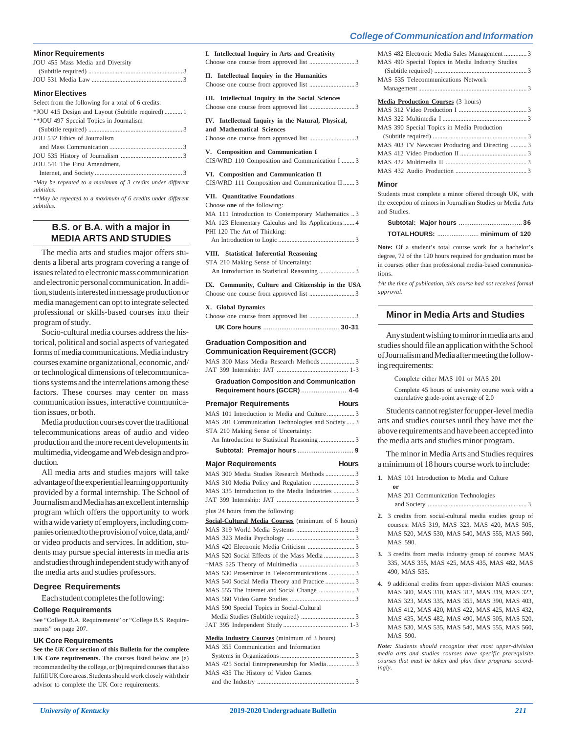| <b>Minor Requirements</b>                                                |
|--------------------------------------------------------------------------|
| JOU 455 Mass Media and Diversity                                         |
|                                                                          |
|                                                                          |
| <b>Minor Electives</b>                                                   |
| Select from the following for a total of 6 credits:                      |
| *JOU 415 Design and Layout (Subtitle required)  1                        |
| ** JOU 497 Special Topics in Journalism                                  |
|                                                                          |
| JOU 532 Ethics of Journalism                                             |
|                                                                          |
|                                                                          |
| JOU 541 The First Amendment,                                             |
|                                                                          |
| *May be repeated to a maximum of 3 credits under different<br>subtitles. |

*\*\*May be repeated to a maximum of 6 credits under different subtitles.*

# **B.S. or B.A. with a major in MEDIA ARTS AND STUDIES**

The media arts and studies major offers students a liberal arts program covering a range of issues related to electronic mass communication and electronic personal communication. In addition, students interested in message production or media management can opt to integrate selected professional or skills-based courses into their program of study.

Socio-cultural media courses address the historical, political and social aspects of variegated forms of media communications. Media industry courses examine organizational, economic, and/ or technological dimensions of telecommunications systems and the interrelations among these factors. These courses may center on mass communication issues, interactive communication issues, or both.

Media production courses cover the traditional telecommunications areas of audio and video production and the more recent developments in multimedia, videogame and Web design and production.

All media arts and studies majors will take advantage of the experiential learning opportunity provided by a formal internship. The School of Journalism and Media has an excellent internship program which offers the opportunity to work with a wide variety of employers, including companies oriented to the provision of voice, data, and/ or video products and services. In addition, students may pursue special interests in media arts and studies through independent study with any of the media arts and studies professors.

## **Degree Requirements**

Each student completes the following:

#### **College Requirements**

See "College B.A. Requirements" or "College B.S. Requirements" on page 207.

## **UK Core Requirements**

**See the** *UK Core* **section of this Bulletin for the complete UK Core requirements.** The courses listed below are (a) recommended by the college, or (b) required courses that also fulfill UK Core areas. Students should work closely with their advisor to complete the UK Core requirements.

| 1. Intenectual Inquiry in Arts and Creativity                                                                                                                                                              |
|------------------------------------------------------------------------------------------------------------------------------------------------------------------------------------------------------------|
| <b>Intellectual Inquiry in the Humanities</b><br>П.                                                                                                                                                        |
| III. Intellectual Inquiry in the Social Sciences                                                                                                                                                           |
| IV. Intellectual Inquiry in the Natural, Physical,<br>and Mathematical Sciences                                                                                                                            |
| V. Composition and Communication I<br>CIS/WRD 110 Composition and Communication I  3                                                                                                                       |
| VI. Composition and Communication II<br>CIS/WRD 111 Composition and Communication II  3                                                                                                                    |
| VII. Quantitative Foundations<br>Choose one of the following:<br>MA 111 Introduction to Contemporary Mathematics 3<br>MA 123 Elementary Calculus and Its Applications 4<br>PHI 120 The Art of Thinking:    |
| VIII. Statistical Inferential Reasoning<br>STA 210 Making Sense of Uncertainty:                                                                                                                            |
| IX. Community, Culture and Citizenship in the USA                                                                                                                                                          |
| X. Global Dynamics                                                                                                                                                                                         |
| <b>Graduation Composition and</b><br><b>Communication Requirement (GCCR)</b><br>MAS 300 Mass Media Research Methods  3<br><b>Graduation Composition and Communication</b><br>Requirement hours (GCCR)  4-6 |
| <b>Premajor Requirements</b><br><b>Hours</b>                                                                                                                                                               |
| MAS 101 Introduction to Media and Culture 3<br>MAS 201 Communication Technologies and Society  3<br>STA 210 Making Sense of Uncertainty:                                                                   |

**I. Intellectual Inquiry in Arts and Creativity**

An Introduction to Statistical Reasoning ...................... 3

| <b>Major Requirements</b>                          | <b>Hours</b> |
|----------------------------------------------------|--------------|
| MAS 300 Media Studies Research Methods  3          |              |
|                                                    |              |
| MAS 335 Introduction to the Media Industries  3    |              |
|                                                    |              |
| plus 24 hours from the following:                  |              |
| Social-Cultural Media Courses (minimum of 6 hours) |              |
|                                                    |              |
|                                                    |              |
|                                                    |              |
|                                                    |              |
|                                                    |              |
| MAS 530 Proseminar in Telecommunications 3         |              |
|                                                    |              |
|                                                    |              |
|                                                    |              |
| MAS 590 Special Topics in Social-Cultural          |              |
|                                                    |              |
|                                                    |              |
| Media Industry Courses (minimum of 3 hours)        |              |

## MAS 355 Communication and Information

| MAS 435 The History of Video Games |  |
|------------------------------------|--|
|                                    |  |

| MAS 482 Electronic Media Sales Management 3      |
|--------------------------------------------------|
| MAS 490 Special Topics in Media Industry Studies |
|                                                  |
| MAS 535 Telecommunications Network               |
|                                                  |
| <b>Media Production Courses (3 hours)</b>        |
|                                                  |
|                                                  |
| MAS 390 Special Topics in Media Production       |
|                                                  |
| MAS 403 TV Newscast Producing and Directing 3    |
|                                                  |
|                                                  |
|                                                  |

#### **Minor**

Students must complete a minor offered through UK, with the exception of minors in Journalism Studies or Media Arts and Studies.

**Note:** Of a student's total course work for a bachelor's degree, 72 of the 120 hours required for graduation must be in courses other than professional media-based communications.

*†At the time of publication, this course had not received formal approval.*

# **Minor in Media Arts and Studies**

Any student wishing to minor in media arts and studies should file an application with the School of Journalism and Media after meeting the following requirements:

Complete either MAS 101 or MAS 201

Complete 45 hours of university course work with a cumulative grade-point average of 2.0

Students cannot register for upper-level media arts and studies courses until they have met the above requirements and have been accepted into the media arts and studies minor program.

The minor in Media Arts and Studies requires a minimum of 18 hours course work to include:

**1.** MAS 101 Introduction to Media and Culture

**or**

MAS 201 Communication Technologies and Society ............................................................. 3

- **2.** 3 credits from social-cultural media studies group of courses: MAS 319, MAS 323, MAS 420, MAS 505, MAS 520, MAS 530, MAS 540, MAS 555, MAS 560, MAS 590.
- **3.** 3 credits from media industry group of courses: MAS 335, MAS 355, MAS 425, MAS 435, MAS 482, MAS 490, MAS 535.
- **4.** 9 additional credits from upper-division MAS courses: MAS 300, MAS 310, MAS 312, MAS 319, MAS 322, MAS 323, MAS 335, MAS 355, MAS 390, MAS 403, MAS 412, MAS 420, MAS 422, MAS 425, MAS 432, MAS 435, MAS 482, MAS 490, MAS 505, MAS 520, MAS 530, MAS 535, MAS 540, MAS 555, MAS 560, MAS 590.

*Note: Students should recognize that most upper-division media arts and studies courses have specific prerequisite courses that must be taken and plan their programs accordingly.*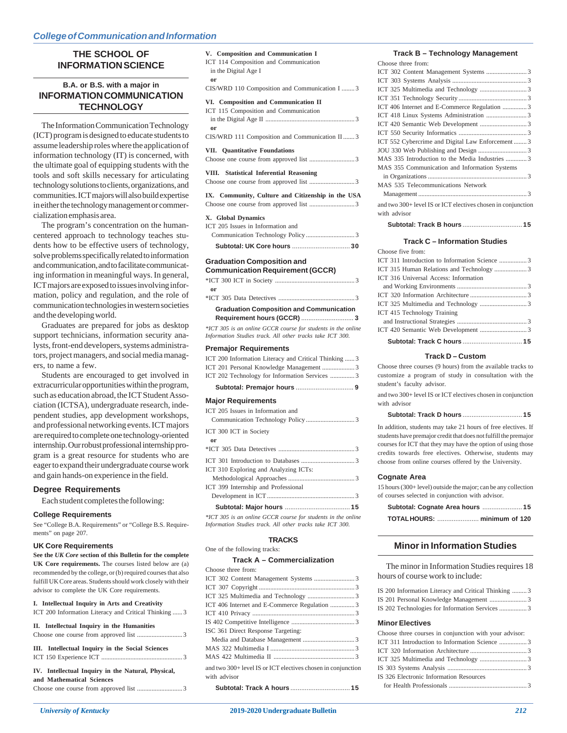# **THE SCHOOL OF INFORMATION SCIENCE**

# **B.A. or B.S. with a major in INFORMATION COMMUNICATION TECHNOLOGY**

The Information Communication Technology (ICT) program is designed to educate students to assume leadership roles where the application of information technology (IT) is concerned, with the ultimate goal of equipping students with the tools and soft skills necessary for articulating technology solutions to clients, organizations, and communities. ICT majors will also build expertise in either the technology management or commercialization emphasis area.

The program's concentration on the humancentered approach to technology teaches students how to be effective users of technology, solve problems specifically related to information and communication, and to facilitate communicating information in meaningful ways. In general, ICT majors are exposed to issues involving information, policy and regulation, and the role of communication technologies in western societies and the developing world.

Graduates are prepared for jobs as desktop support technicians, information security analysts, front-end developers, systems administrators, project managers, and social media managers, to name a few.

Students are encouraged to get involved in extracurricular opportunities within the program, such as education abroad, the ICT Student Association (ICTSA), undergraduate research, independent studies, app development workshops, and professional networking events. ICT majors are required to complete one technology-oriented internship. Our robust professional internship program is a great resource for students who are eager to expand their undergraduate course work and gain hands-on experience in the field.

## **Degree Requirements**

Each student completes the following:

## **College Requirements**

See "College B.A. Requirements" or "College B.S. Requirements" on page 207.

## **UK Core Requirements**

**See the** *UK Core* **section of this Bulletin for the complete UK Core requirements.** The courses listed below are (a) recommended by the college, or (b) required courses that also fulfill UK Core areas. Students should work closely with their advisor to complete the UK Core requirements.

**I. Intellectual Inquiry in Arts and Creativity**

| ICT 200 Information Literacy and Critical Thinking  3                           |
|---------------------------------------------------------------------------------|
| II. Intellectual Inquiry in the Humanities                                      |
| III. Intellectual Inquiry in the Social Sciences                                |
| IV. Intellectual Inquiry in the Natural, Physical,<br>and Mathematical Sciences |

**V. Composition and Communication I** ICT 114 Composition and Communication in the Digital Age I **or** CIS/WRD 110 Composition and Communication I ........ 3 **VI. Composition and Communication II** ICT 115 Composition and Communication in the Digital Age II ....................................................... 3 **or** CIS/WRD 111 Composition and Communication II ....... 3

# **VII. Quantitative Foundations**

Choose one course from approved list ............................ 3

#### **VIII. Statistical Inferential Reasoning**

Choose one course from approved list ............................ 3

| IX. Community, Culture and Citizenship in the USA |  |  |  |
|---------------------------------------------------|--|--|--|
|                                                   |  |  |  |

## **X. Global Dynamics**

| ICT 205 Issues in Information and |  |
|-----------------------------------|--|

# **Graduation Composition and**

| <b>Communication Requirement (GCCR)</b> |  |  |
|-----------------------------------------|--|--|
|                                         |  |  |
| or                                      |  |  |
| *ICT 305 Data Detectives 3              |  |  |

**Graduation Composition and Communication Requirement hours (GCCR)** ............................. **3**

*\*ICT 305 is an online GCCR course for students in the online Information Studies track. All other tracks take ICT 300.*

#### **Premajor Requirements**

| ICT 202 Technology for Information Services 3         |  |
|-------------------------------------------------------|--|
|                                                       |  |
| ICT 200 Information Literacy and Critical Thinking  3 |  |

#### **Major Requirements**

| ICT 399 Internship and Professional   |  |
|---------------------------------------|--|
|                                       |  |
| ICT 310 Exploring and Analyzing ICTs: |  |
|                                       |  |
|                                       |  |
| $\mathbf{or}$                         |  |
| ICT 300 ICT in Society                |  |
| ICT 205 Issues in Information and     |  |
|                                       |  |

*\*ICT 305 is an online GCCR course for students in the online Information Studies track. All other tracks take ICT 300.*

## **TRACKS**

One of the following tracks:

# **Track A – Commercialization**

| Choose three from:                                                           |  |
|------------------------------------------------------------------------------|--|
|                                                                              |  |
|                                                                              |  |
|                                                                              |  |
| ICT 406 Internet and E-Commerce Regulation 3                                 |  |
|                                                                              |  |
|                                                                              |  |
| ISC 361 Direct Response Targeting:                                           |  |
|                                                                              |  |
|                                                                              |  |
|                                                                              |  |
| and two 300+ level IS or ICT electives chosen in conjunction<br>with advisor |  |
|                                                                              |  |

# **Track B – Technology Management**

| Choose three from:                              |  |
|-------------------------------------------------|--|
|                                                 |  |
|                                                 |  |
|                                                 |  |
|                                                 |  |
| ICT 406 Internet and E-Commerce Regulation  3   |  |
|                                                 |  |
|                                                 |  |
|                                                 |  |
| ICT 552 Cybercrime and Digital Law Enforcement3 |  |
|                                                 |  |
| MAS 335 Introduction to the Media Industries 3  |  |
| MAS 355 Communication and Information Systems   |  |
|                                                 |  |
| MAS 535 Telecommunications Network              |  |
|                                                 |  |
|                                                 |  |

and two 300+ level IS or ICT electives chosen in conjunction with advisor

**Subtotal: Track B hours** ................................. **15**

#### **Track C – Information Studies**

| ICT 415 Technology Training                   |  |
|-----------------------------------------------|--|
|                                               |  |
|                                               |  |
|                                               |  |
| ICT 316 Universal Access: Information         |  |
| ICT 315 Human Relations and Technology 3      |  |
| ICT 311 Introduction to Information Science 3 |  |
| Choose five from:                             |  |

#### **Track D – Custom**

Choose three courses (9 hours) from the available tracks to customize a program of study in consultation with the student's faculty advisor.

and two 300+ level IS or ICT electives chosen in conjunction with advisor

In addition, students may take 21 hours of free electives. If students have premajor credit that does not fulfill the premajor courses for ICT that they may have the option of using those credits towards free electives. Otherwise, students may choose from online courses offered by the University.

### **Cognate Area**

15 hours (300+ level) outside the major; can be any collection of courses selected in conjunction with advisor.

# **Minor in Information Studies**

The minor in Information Studies requires 18 hours of course work to include:

|  | IS 200 Information Literacy and Critical Thinking 3 |  |
|--|-----------------------------------------------------|--|
|  |                                                     |  |
|  | IS 202 Technologies for Information Services 3      |  |

## **Minor Electives**

| Choose three courses in conjunction with your advisor: |  |
|--------------------------------------------------------|--|
|                                                        |  |
|                                                        |  |
|                                                        |  |
|                                                        |  |
| IS 326 Electronic Information Resources                |  |
|                                                        |  |